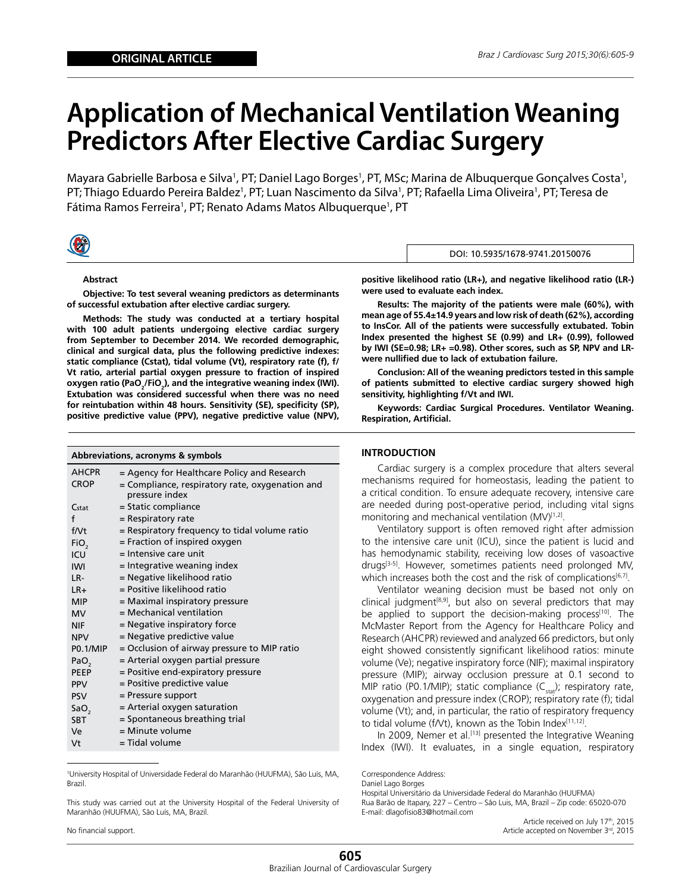# **Application of Mechanical Ventilation Weaning Predictors After Elective Cardiac Surgery**

Mayara Gabrielle Barbosa e Silva<sup>1</sup>, PT; Daniel Lago Borges<sup>1</sup>, PT, MSc; Marina de Albuquerque Gonçalves Costa<sup>1</sup>, PT; Thiago Eduardo Pereira Baldez<sup>1</sup>, PT; Luan Nascimento da Silva<sup>1</sup>, PT; Rafaella Lima Oliveira<sup>1</sup>, PT; Teresa de Fátima Ramos Ferreira<sup>1</sup>, PT; Renato Adams Matos Albuquerque<sup>1</sup>, PT



#### **Abstract**

**Objective: To test several weaning predictors as determinants of successful extubation after elective cardiac surgery.** 

**Methods: The study was conducted at a tertiary hospital with 100 adult patients undergoing elective cardiac surgery from September to December 2014. We recorded demographic, clinical and surgical data, plus the following predictive indexes: static compliance (Cstat), tidal volume (Vt), respiratory rate (f), f/ Vt ratio, arterial partial oxygen pressure to fraction of inspired**  oxygen ratio (PaO<sub>2</sub>/FiO<sub>2</sub>), and the integrative weaning index (IWI). **Extubation was considered successful when there was no need for reintubation within 48 hours. Sensitivity (SE), specificity (SP), positive predictive value (PPV), negative predictive value (NPV),** 

## **Abbreviations, acronyms & symbols**

| <b>AHCPR</b>     | = Agency for Healthcare Policy and Research                       |
|------------------|-------------------------------------------------------------------|
| <b>CROP</b>      | = Compliance, respiratory rate, oxygenation and<br>pressure index |
| Cstat            | = Static compliance                                               |
| f                | $=$ Respiratory rate                                              |
| f/Vt             | = Respiratory frequency to tidal volume ratio                     |
| FiO <sub>2</sub> | $=$ Fraction of inspired oxygen                                   |
| ICU              | = Intensive care unit                                             |
| <b>IWI</b>       | = Integrative weaning index                                       |
| LR-              | = Negative likelihood ratio                                       |
| $LR+$            | = Positive likelihood ratio                                       |
| <b>MIP</b>       | = Maximal inspiratory pressure                                    |
| <b>MV</b>        | $=$ Mechanical ventilation                                        |
| <b>NIF</b>       | = Negative inspiratory force                                      |
| <b>NPV</b>       | = Negative predictive value                                       |
| <b>P0.1/MIP</b>  | = Occlusion of airway pressure to MIP ratio                       |
| PaO <sub>2</sub> | = Arterial oxygen partial pressure                                |
| <b>PEEP</b>      | = Positive end-expiratory pressure                                |
| <b>PPV</b>       | = Positive predictive value                                       |
| <b>PSV</b>       | = Pressure support                                                |
| SaO <sub>2</sub> | $=$ Arterial oxygen saturation                                    |
| <b>SBT</b>       | = Spontaneous breathing trial                                     |
| Ve               | = Minute volume                                                   |
| Vt               | = Tidal volume                                                    |

1 University Hospital of Universidade Federal do Maranhão (HUUFMA), São Luís, MA, Brazil.

This study was carried out at the University Hospital of the Federal University of Maranhão (HUUFMA), São Luís, MA, Brazil.

No financial support.

**positive likelihood ratio (LR+), and negative likelihood ratio (LR-) were used to evaluate each index.** 

DOI: 10.5935/1678-9741.20150076

**Results: The majority of the patients were male (60%), with mean age of 55.4±14.9 years and low risk of death (62%), according to InsCor. All of the patients were successfully extubated. Tobin Index presented the highest SE (0.99) and LR+ (0.99), followed by IWI (SE=0.98; LR+ =0.98). Other scores, such as SP, NPV and LRwere nullified due to lack of extubation failure.** 

**Conclusion: All of the weaning predictors tested in this sample of patients submitted to elective cardiac surgery showed high sensitivity, highlighting f/Vt and IWI.** 

**Keywords: Cardiac Surgical Procedures. Ventilator Weaning. Respiration, Artificial.**

### **INTRODUCTION**

Cardiac surgery is a complex procedure that alters several mechanisms required for homeostasis, leading the patient to a critical condition. To ensure adequate recovery, intensive care are needed during post-operative period, including vital signs monitoring and mechanical ventilation (MV)<sup>[1,2]</sup>.

Ventilatory support is often removed right after admission to the intensive care unit (ICU), since the patient is lucid and has hemodynamic stability, receiving low doses of vasoactive drugs<sup>[3-5]</sup>. However, sometimes patients need prolonged MV, which increases both the cost and the risk of complications $[6,7]$ .

Ventilator weaning decision must be based not only on clinical judgment<sup>[8,9]</sup>, but also on several predictors that may be applied to support the decision-making process<sup>[10]</sup>. The McMaster Report from the Agency for Healthcare Policy and Research (AHCPR) reviewed and analyzed 66 predictors, but only eight showed consistently significant likelihood ratios: minute volume (Ve); negative inspiratory force (NIF); maximal inspiratory pressure (MIP); airway occlusion pressure at 0.1 second to MIP ratio (P0.1/MIP); static compliance  $(C_{stat})$ ; respiratory rate, oxygenation and pressure index (CROP); respiratory rate (f); tidal volume (Vt); and, in particular, the ratio of respiratory frequency to tidal volume (f/Vt), known as the Tobin Index<sup>[11,12]</sup>.

In 2009, Nemer et al.<sup>[13]</sup> presented the Integrative Weaning Index (IWI). It evaluates, in a single equation, respiratory

Correspondence Address: Daniel Lago Borges Hospital Universitário da Universidade Federal do Maranhão (HUUFMA) Rua Barão de Itapary, 227 – Centro – São Luis, MA, Brazil – Zip code: 65020-070

E-mail: dlagofisio83@hotmail.com Article received on July 17th, 2015

Article accepted on November 3rd, 2015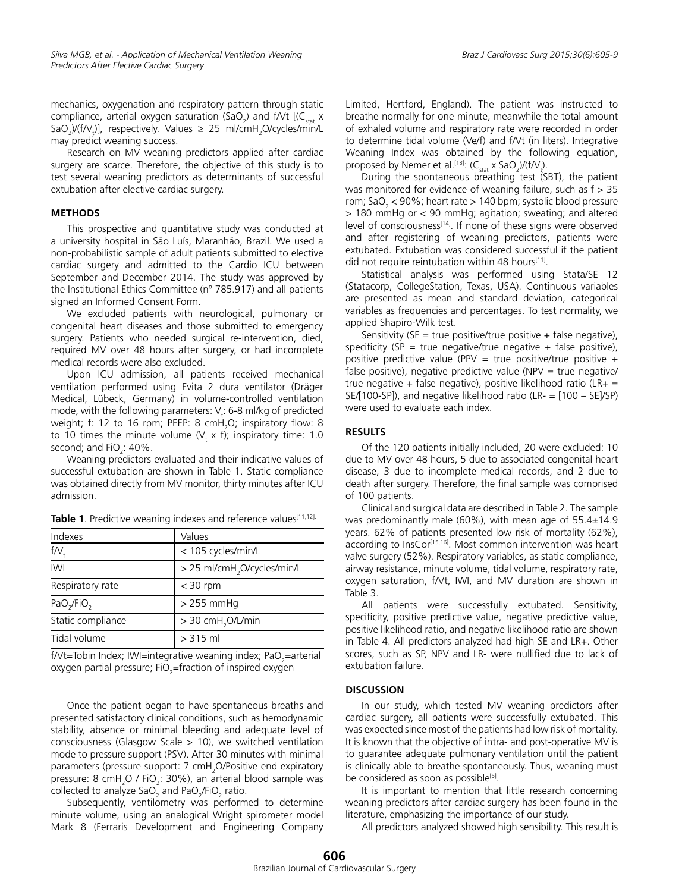mechanics, oxygenation and respiratory pattern through static compliance, arterial oxygen saturation (SaO<sub>2</sub>) and f/Vt  $\left[\left(C_{\text{stat}}\times\right)\right]$ SaO<sub>2</sub>)/(f/V<sub>t</sub>)], respectively. Values  $\geq 25$  ml/cmH<sub>2</sub>O/cycles/min/L may predict weaning success.

Research on MV weaning predictors applied after cardiac surgery are scarce. Therefore, the objective of this study is to test several weaning predictors as determinants of successful extubation after elective cardiac surgery.

#### **METHODS**

This prospective and quantitative study was conducted at a university hospital in São Luís, Maranhão, Brazil. We used a non-probabilistic sample of adult patients submitted to elective cardiac surgery and admitted to the Cardio ICU between September and December 2014. The study was approved by the Institutional Ethics Committee (nº 785.917) and all patients signed an Informed Consent Form.

We excluded patients with neurological, pulmonary or congenital heart diseases and those submitted to emergency surgery. Patients who needed surgical re-intervention, died, required MV over 48 hours after surgery, or had incomplete medical records were also excluded.

Upon ICU admission, all patients received mechanical ventilation performed using Evita 2 dura ventilator (Dräger Medical, Lübeck, Germany) in volume-controlled ventilation mode, with the following parameters:  $V_t$ : 6-8 ml/kg of predicted weight; f: 12 to 16 rpm; PEEP: 8  $\mathsf{cmH}_{2}$ O; inspiratory flow: 8 to 10 times the minute volume  $(V<sub>t</sub> \times f)$ ; inspiratory time: 1.0 second; and  $FiO_2$ : 40%.

Weaning predictors evaluated and their indicative values of successful extubation are shown in Table 1. Static compliance was obtained directly from MV monitor, thirty minutes after ICU admission.

| Indexes                            | Values                                       |
|------------------------------------|----------------------------------------------|
| f/V                                | < 105 cycles/min/L                           |
| <b>IWI</b>                         | $\geq$ 25 ml/cmH <sub>2</sub> O/cycles/min/L |
| Respiratory rate                   | $<$ 30 rpm                                   |
| PaO <sub>2</sub> /FiO <sub>2</sub> | $>$ 255 mmHq                                 |
| Static compliance                  | > 30 cmH <sub>2</sub> O/L/min                |
| Tidal volume                       | $> 315$ ml                                   |

Table 1. Predictive weaning indexes and reference values<sup>[11,12].</sup>

f/Vt=Tobin Index; IWI=integrative weaning index; PaO<sub>2</sub>=arterial oxygen partial pressure; FiO<sub>2</sub>=fraction of inspired oxygen

Once the patient began to have spontaneous breaths and presented satisfactory clinical conditions, such as hemodynamic stability, absence or minimal bleeding and adequate level of consciousness (Glasgow Scale > 10), we switched ventilation mode to pressure support (PSV). After 30 minutes with minimal parameters (pressure support: 7 cmH<sub>2</sub>O/Positive end expiratory pressure: 8  $cmH<sub>2</sub>O$  / FiO<sub>2</sub>: 30%), an arterial blood sample was collected to analyze SaO<sub>2</sub> and PaO<sub>2</sub>/FiO<sub>2</sub> ratio.

Subsequently, ventilometry was performed to determine minute volume, using an analogical Wright spirometer model Mark 8 (Ferraris Development and Engineering Company Limited, Hertford, England). The patient was instructed to breathe normally for one minute, meanwhile the total amount of exhaled volume and respiratory rate were recorded in order to determine tidal volume (Ve/f) and f/Vt (in liters). Integrative Weaning Index was obtained by the following equation, proposed by Nemer et al.<sup>[13]</sup>:  $(C_{stat} \times SaO_2)/(f/V_t)$ .

During the spontaneous breathing test (SBT), the patient was monitored for evidence of weaning failure, such as  $f > 35$ rpm; SaO<sub>2</sub> < 90%; heart rate > 140 bpm; systolic blood pressure > 180 mmHg or < 90 mmHg; agitation; sweating; and altered level of consciousness<sup>[14]</sup>. If none of these signs were observed and after registering of weaning predictors, patients were extubated. Extubation was considered successful if the patient did not require reintubation within 48 hours<sup>[11]</sup>.

Statistical analysis was performed using Stata/SE 12 (Statacorp, CollegeStation, Texas, USA). Continuous variables are presented as mean and standard deviation, categorical variables as frequencies and percentages. To test normality, we applied Shapiro-Wilk test.

Sensitivity (SE = true positive/true positive + false negative), specificity (SP = true negative/true negative + false positive), positive predictive value (PPV = true positive/true positive + false positive), negative predictive value (NPV = true negative/ true negative + false negative), positive likelihood ratio (LR+ = SE/[100-SP]), and negative likelihood ratio (LR- = [100 – SE]/SP) were used to evaluate each index.

## **RESULTS**

Of the 120 patients initially included, 20 were excluded: 10 due to MV over 48 hours, 5 due to associated congenital heart disease, 3 due to incomplete medical records, and 2 due to death after surgery. Therefore, the final sample was comprised of 100 patients.

Clinical and surgical data are described in Table 2. The sample was predominantly male (60%), with mean age of  $55.4 \pm 14.9$ years. 62% of patients presented low risk of mortality (62%), according to InsCor<sup>[15,16]</sup>. Most common intervention was heart valve surgery (52%). Respiratory variables, as static compliance, airway resistance, minute volume, tidal volume, respiratory rate, oxygen saturation, f/Vt, IWI, and MV duration are shown in Table 3.

All patients were successfully extubated. Sensitivity, specificity, positive predictive value, negative predictive value, positive likelihood ratio, and negative likelihood ratio are shown in Table 4. All predictors analyzed had high SE and LR+. Other scores, such as SP, NPV and LR- were nullified due to lack of extubation failure.

# **DISCUSSION**

In our study, which tested MV weaning predictors after cardiac surgery, all patients were successfully extubated. This was expected since most of the patients had low risk of mortality. It is known that the objective of intra- and post-operative MV is to guarantee adequate pulmonary ventilation until the patient is clinically able to breathe spontaneously. Thus, weaning must be considered as soon as possible<sup>[5]</sup>.

It is important to mention that little research concerning weaning predictors after cardiac surgery has been found in the literature, emphasizing the importance of our study.

All predictors analyzed showed high sensibility. This result is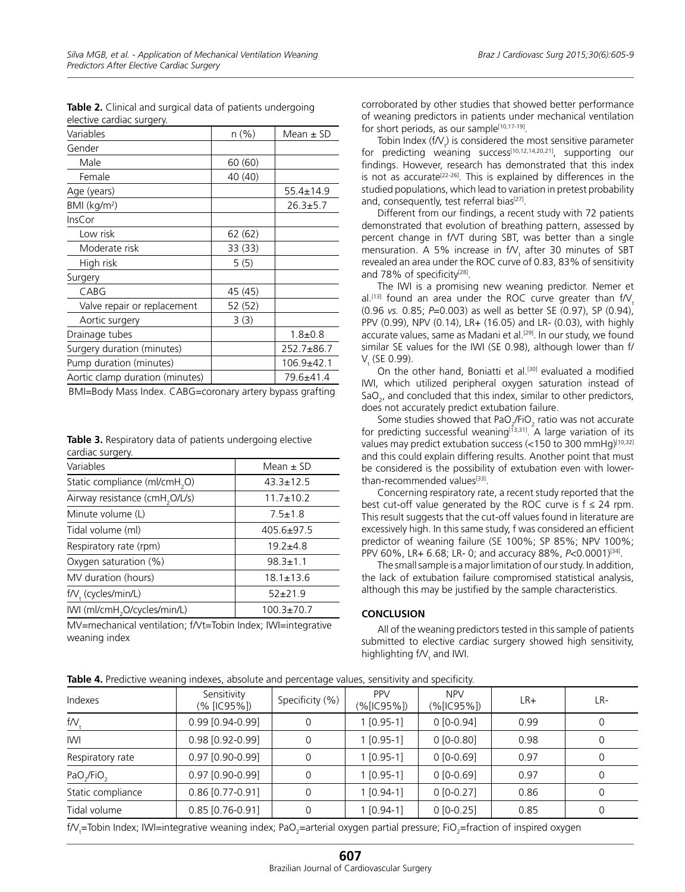| Variables                       | n (%)   | Mean $\pm$ SD   |  |
|---------------------------------|---------|-----------------|--|
| Gender                          |         |                 |  |
| Male                            | 60 (60) |                 |  |
| Female                          | 40 (40) |                 |  |
| Age (years)                     |         | $55.4 \pm 14.9$ |  |
| BMI (kg/m <sup>2</sup> )        |         | $26.3 + 5.7$    |  |
| InsCor                          |         |                 |  |
| Low risk                        | 62 (62) |                 |  |
| Moderate risk                   | 33 (33) |                 |  |
| High risk                       | 5(5)    |                 |  |
| Surgery                         |         |                 |  |
| CABG                            | 45 (45) |                 |  |
| Valve repair or replacement     | 52 (52) |                 |  |
| Aortic surgery                  | 3(3)    |                 |  |
| Drainage tubes                  |         | $1.8 + 0.8$     |  |
| Surgery duration (minutes)      |         | 252.7±86.7      |  |
| Pump duration (minutes)         |         | $106.9 + 42.1$  |  |
| Aortic clamp duration (minutes) |         | 79.6±41.4       |  |

**Table 2.** Clinical and surgical data of patients undergoing elective cardiac surgery.

BMI=Body Mass Index. CABG=coronary artery bypass grafting.

| <b>Table 3.</b> Respiratory data of patients undergoing elective |  |
|------------------------------------------------------------------|--|
| cardiac surgery.                                                 |  |

| Variables                                  | Mean $\pm$ SD    |  |  |
|--------------------------------------------|------------------|--|--|
| Static compliance (ml/cmH <sub>2</sub> O)  | $43.3 \pm 12.5$  |  |  |
| Airway resistance (cmH <sub>2</sub> O/L/s) | $11.7 \pm 10.2$  |  |  |
| Minute volume (L)                          | $7.5 \pm 1.8$    |  |  |
| Tidal volume (ml)                          | $405.6 \pm 97.5$ |  |  |
| Respiratory rate (rpm)                     | $19.2 \pm 4.8$   |  |  |
| Oxygen saturation (%)                      | $98.3 \pm 1.1$   |  |  |
| MV duration (hours)                        | $18.1 \pm 13.6$  |  |  |
| f/V, (cycles/min/L)                        | $52+21.9$        |  |  |
| IWI (ml/cmH <sub>2</sub> O/cycles/min/L)   | $100.3 \pm 70.7$ |  |  |

MV=mechanical ventilation; f/Vt=Tobin Index; IWI=integrative weaning index

corroborated by other studies that showed better performance of weaning predictors in patients under mechanical ventilation for short periods, as our sample<sup>[10,17-19]</sup>.

Tobin Index (f $N_t$ ) is considered the most sensitive parameter for predicting weaning success<sup>[10,12,14,20,21]</sup>, supporting our findings. However, research has demonstrated that this index is not as accurate<sup>[22-26]</sup>. This is explained by differences in the studied populations, which lead to variation in pretest probability and, consequently, test referral bias<sup>[27]</sup>.

Different from our findings, a recent study with 72 patients demonstrated that evolution of breathing pattern, assessed by percent change in f/VT during SBT, was better than a single mensuration. A 5% increase in  $f/V_t$  after 30 minutes of SBT revealed an area under the ROC curve of 0.83, 83% of sensitivity and 78% of specificity<sup>[28]</sup>.

The IWI is a promising new weaning predictor. Nemer et al.<sup>[13]</sup> found an area under the ROC curve greater than  $f/V$ . (0.96 *vs.* 0.85; *P*=0.003) as well as better SE (0.97), SP (0.94), PPV (0.99), NPV (0.14), LR+ (16.05) and LR- (0.03), with highly accurate values, same as Madani et al.<sup>[29]</sup>. In our study, we found similar SE values for the IWI (SE 0.98), although lower than f/  $V_{t}$  (se 0.99).

On the other hand, Boniatti et al.<sup>[30]</sup> evaluated a modified IWI, which utilized peripheral oxygen saturation instead of SaO<sub>2</sub>, and concluded that this index, similar to other predictors, does not accurately predict extubation failure.

Some studies showed that PaO<sub>2</sub>/FiO<sub>2</sub> ratio was not accurate for predicting successful weaning[13,31]. A large variation of its values may predict extubation success (<150 to 300 mmHg)[10,32] and this could explain differing results. Another point that must be considered is the possibility of extubation even with lowerthan-recommended values[33].

Concerning respiratory rate, a recent study reported that the best cut-off value generated by the ROC curve is  $f \leq 24$  rpm. This result suggests that the cut-off values found in literature are excessively high. In this same study, f was considered an efficient predictor of weaning failure (SE 100%; SP 85%; NPV 100%; PPV 60%, LR+ 6.68; LR- 0; and accuracy 88%, *P<*0.0001)<sup>[34]</sup>.

The small sample is a major limitation of our study. In addition, the lack of extubation failure compromised statistical analysis, although this may be justified by the sample characteristics.

# **CONCLUSION**

All of the weaning predictors tested in this sample of patients submitted to elective cardiac surgery showed high sensitivity, highlighting f $N_t$  and IWI.

|  | Table 4. Predictive weaning indexes, absolute and percentage values, sensitivity and specificity. |
|--|---------------------------------------------------------------------------------------------------|
|--|---------------------------------------------------------------------------------------------------|

| Indexes                            | Sensitivity<br>(% [IC95%]) | Specificity (%) | PP <sub>V</sub><br>$(\%$ [IC95%]) | <b>NPV</b><br>(%[IC95%]) | $LR+$ | LR-      |
|------------------------------------|----------------------------|-----------------|-----------------------------------|--------------------------|-------|----------|
| $f/V_{+}$                          | 0.99 [0.94-0.99]           |                 | $1[0.95-1]$                       | $0[0-0.94]$              | 0.99  | 0        |
| <b>IWI</b>                         | 0.98 [0.92-0.99]           | 0               | $1[0.95-1]$                       | $0[0-0.80]$              | 0.98  | 0        |
| Respiratory rate                   | $0.97$ [0.90-0.99]         | 0               | $1[0.95-1]$                       | $0 [0 - 0.69]$           | 0.97  | 0        |
| PaO <sub>2</sub> /FiO <sub>2</sub> | 0.97 [0.90-0.99]           |                 | $1[0.95-1]$                       | $0 [0 - 0.69]$           | 0.97  | 0        |
| Static compliance                  | $0.86$ [0.77-0.91]         | 0               | $1[0.94-1]$                       | $0[0-0.27]$              | 0.86  | $\Omega$ |
| Tidal volume                       | $0.85$ [0.76-0.91]         |                 | 1 [0.94-1]                        | $0[0-0.25]$              | 0.85  | 0        |

f/V<sub>t</sub>=Tobin Index; IWI=integrative weaning index; PaO<sub>2</sub>=arterial oxygen partial pressure; FiO<sub>2</sub>=fraction of inspired oxygen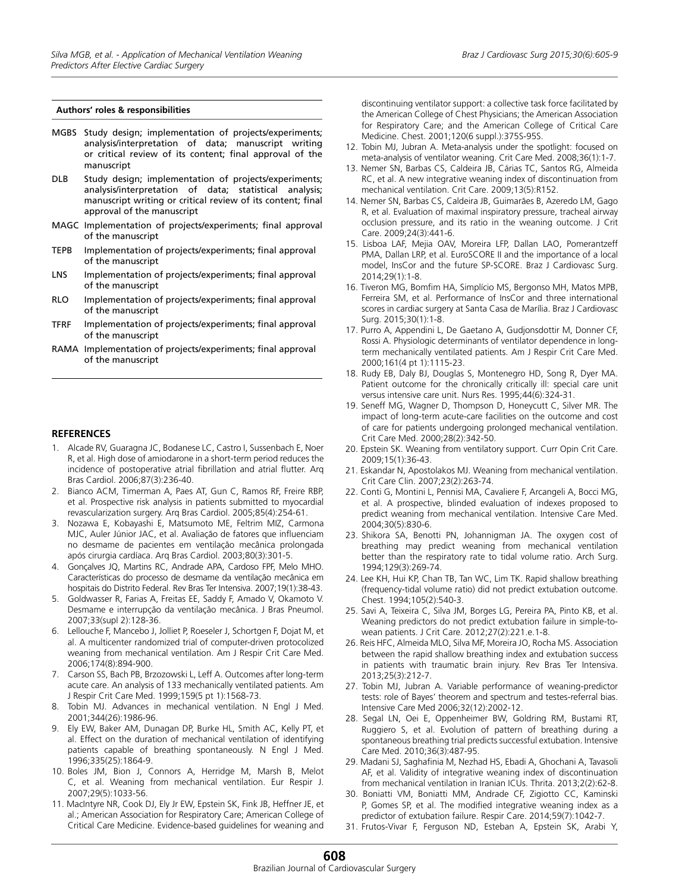#### **Authors' roles & responsibilities**

- MGBS Study design; implementation of projects/experiments; analysis/interpretation of data; manuscript writing or critical review of its content; final approval of the manuscript
- DLB Study design; implementation of projects/experiments; analysis/interpretation of data; statistical analysis; manuscript writing or critical review of its content; final approval of the manuscript
- MAGC Implementation of projects/experiments; final approval of the manuscript
- TEPB Implementation of projects/experiments; final approval of the manuscript
- LNS Implementation of projects/experiments; final approval of the manuscript
- RLO Implementation of projects/experiments; final approval of the manuscript
- TFRF Implementation of projects/experiments; final approval of the manuscript
- RAMA Implementation of projects/experiments; final approval of the manuscript

#### **REFERENCES**

- 1. Alcade RV, Guaragna JC, Bodanese LC, Castro I, Sussenbach E, Noer R, et al. High dose of amiodarone in a short-term period reduces the incidence of postoperative atrial fibrillation and atrial flutter. Arq Bras Cardiol. 2006;87(3):236-40.
- 2. Bianco ACM, Timerman A, Paes AT, Gun C, Ramos RF, Freire RBP, et al. Prospective risk analysis in patients submitted to myocardial revascularization surgery. Arq Bras Cardiol. 2005;85(4):254-61.
- 3. Nozawa E, Kobayashi E, Matsumoto ME, Feltrim MIZ, Carmona MJC, Auler Júnior JAC, et al. Avaliação de fatores que influenciam no desmame de pacientes em ventilação mecânica prolongada após cirurgia cardíaca. Arq Bras Cardiol. 2003;80(3):301-5.
- 4. Gonçalves JQ, Martins RC, Andrade APA, Cardoso FPF, Melo MHO. Características do processo de desmame da ventilação mecânica em hospitais do Distrito Federal. Rev Bras Ter Intensiva. 2007;19(1):38-43.
- 5. Goldwasser R, Farias A, Freitas EE, Saddy F, Amado V, Okamoto V. Desmame e interrupção da ventilação mecânica. J Bras Pneumol. 2007;33(supl 2):128-36.
- 6. Lellouche F, Mancebo J, Jolliet P, Roeseler J, Schortgen F, Dojat M, et al. A multicenter randomized trial of computer-driven protocolized weaning from mechanical ventilation. Am J Respir Crit Care Med. 2006;174(8):894-900.
- 7. Carson SS, Bach PB, Brzozowski L, Leff A. Outcomes after long-term acute care. An analysis of 133 mechanically ventilated patients. Am J Respir Crit Care Med. 1999;159(5 pt 1):1568-73.
- 8. Tobin MJ. Advances in mechanical ventilation. N Engl J Med. 2001;344(26):1986-96.
- 9. Ely EW, Baker AM, Dunagan DP, Burke HL, Smith AC, Kelly PT, et al. Effect on the duration of mechanical ventilation of identifying patients capable of breathing spontaneously. N Engl J Med. 1996;335(25):1864-9.
- 10. Boles JM, Bion J, Connors A, Herridge M, Marsh B, Melot C, et al. Weaning from mechanical ventilation. Eur Respir J. 2007;29(5):1033-56.
- 11. MacIntyre NR, Cook DJ, Ely Jr EW, Epstein SK, Fink JB, Heffner JE, et al.; American Association for Respiratory Care; American College of Critical Care Medicine. Evidence-based guidelines for weaning and

discontinuing ventilator support: a collective task force facilitated by the American College of Chest Physicians; the American Association for Respiratory Care; and the American College of Critical Care Medicine. Chest. 2001;120(6 suppl.):375S-95S.

- 12. Tobin MJ, Jubran A. Meta-analysis under the spotlight: focused on meta-analysis of ventilator weaning. Crit Care Med. 2008;36(1):1-7.
- 13. Nemer SN, Barbas CS, Caldeira JB, Cárias TC, Santos RG, Almeida RC, et al. A new integrative weaning index of discontinuation from mechanical ventilation. Crit Care. 2009;13(5):R152.
- 14. Nemer SN, Barbas CS, Caldeira JB, Guimarães B, Azeredo LM, Gago R, et al. Evaluation of maximal inspiratory pressure, tracheal airway occlusion pressure, and its ratio in the weaning outcome. J Crit Care. 2009;24(3):441-6.
- 15. Lisboa LAF, Mejia OAV, Moreira LFP, Dallan LAO, Pomerantzeff PMA, Dallan LRP, et al. EuroSCORE II and the importance of a local model, InsCor and the future SP-SCORE. Braz J Cardiovasc Surg. 2014;29(1):1-8.
- 16. Tiveron MG, Bomfim HA, Simplício MS, Bergonso MH, Matos MPB, Ferreira SM, et al. Performance of InsCor and three international scores in cardiac surgery at Santa Casa de Marília. Braz J Cardiovasc Surg. 2015;30(1):1-8.
- 17. Purro A, Appendini L, De Gaetano A, Gudjonsdottir M, Donner CF, Rossi A. Physiologic determinants of ventilator dependence in longterm mechanically ventilated patients. Am J Respir Crit Care Med. 2000;161(4 pt 1):1115-23.
- 18. Rudy EB, Daly BJ, Douglas S, Montenegro HD, Song R, Dyer MA. Patient outcome for the chronically critically ill: special care unit versus intensive care unit. Nurs Res. 1995;44(6):324-31.
- 19. Seneff MG, Wagner D, Thompson D, Honeycutt C, Silver MR. The impact of long-term acute-care facilities on the outcome and cost of care for patients undergoing prolonged mechanical ventilation. Crit Care Med. 2000;28(2):342-50.
- 20. Epstein SK. Weaning from ventilatory support. Curr Opin Crit Care. 2009;15(1):36-43.
- 21. Eskandar N, Apostolakos MJ. Weaning from mechanical ventilation. Crit Care Clin. 2007;23(2):263-74.
- 22. Conti G, Montini L, Pennisi MA, Cavaliere F, Arcangeli A, Bocci MG, et al. A prospective, blinded evaluation of indexes proposed to predict weaning from mechanical ventilation. Intensive Care Med. 2004;30(5):830-6.
- 23. Shikora SA, Benotti PN, Johannigman JA. The oxygen cost of breathing may predict weaning from mechanical ventilation better than the respiratory rate to tidal volume ratio. Arch Surg. 1994;129(3):269-74.
- 24. Lee KH, Hui KP, Chan TB, Tan WC, Lim TK. Rapid shallow breathing (frequency-tidal volume ratio) did not predict extubation outcome. Chest. 1994;105(2):540-3.
- 25. Savi A, Teixeira C, Silva JM, Borges LG, Pereira PA, Pinto KB, et al. Weaning predictors do not predict extubation failure in simple-towean patients. J Crit Care. 2012;27(2):221.e.1-8.
- 26. Reis HFC, Almeida MLO, Silva MF, Moreira JO, Rocha MS. Association between the rapid shallow breathing index and extubation success in patients with traumatic brain injury. Rev Bras Ter Intensiva. 2013;25(3):212-7.
- 27. Tobin MJ, Jubran A. Variable performance of weaning-predictor tests: role of Bayes' theorem and spectrum and testes-referral bias. Intensive Care Med 2006;32(12):2002-12.
- 28. Segal LN, Oei E, Oppenheimer BW, Goldring RM, Bustami RT, Ruggiero S, et al. Evolution of pattern of breathing during a spontaneous breathing trial predicts successful extubation. Intensive Care Med. 2010;36(3):487-95.
- 29. Madani SJ, Saghafinia M, Nezhad HS, Ebadi A, Ghochani A, Tavasoli AF, et al. Validity of integrative weaning index of discontinuation from mechanical ventilation in Iranian ICUs. Thrita. 2013;2(2):62-8.
- 30. Boniatti VM, Boniatti MM, Andrade CF, Zigiotto CC, Kaminski P, Gomes SP, et al. The modified integrative weaning index as a predictor of extubation failure. Respir Care. 2014;59(7):1042-7.
- 31. Frutos-Vivar F, Ferguson ND, Esteban A, Epstein SK, Arabi Y,